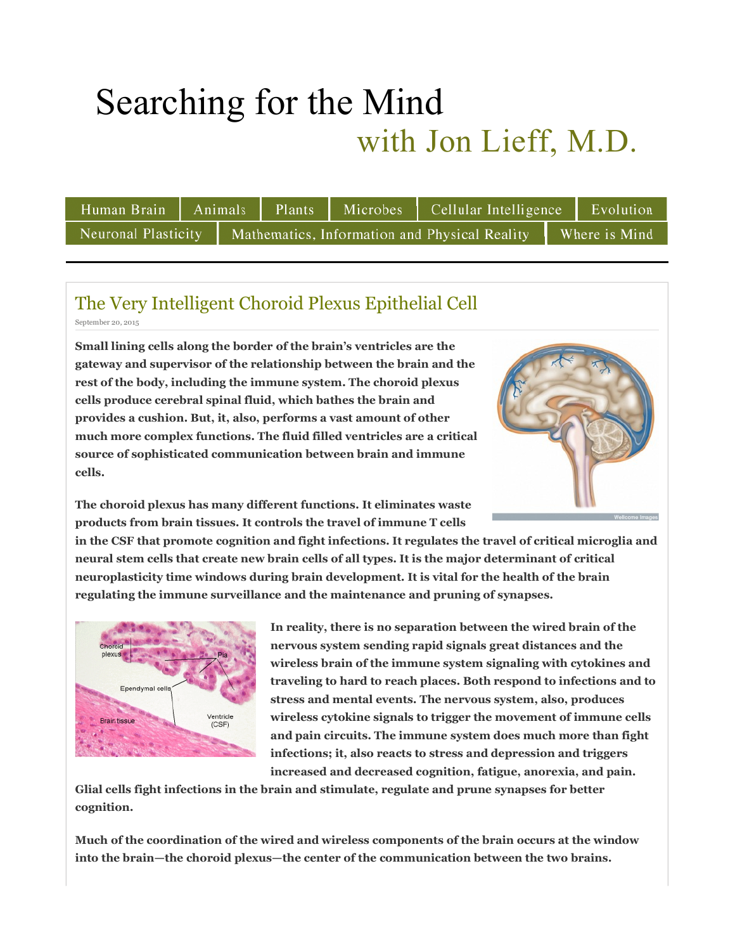# Searching for the Mind with Jon Lieff, M.D.

|  |  |                                                                                     |  |  | Human Brain   Animals   Plants   Microbes   Cellular Intelligence   Evolution |  |  |
|--|--|-------------------------------------------------------------------------------------|--|--|-------------------------------------------------------------------------------|--|--|
|  |  | Neuronal Plasticity   Mathematics, Information and Physical Reality   Where is Mind |  |  |                                                                               |  |  |

## The Very Intelligent Choroid Plexus Epithelial Cell

September 20, 2015

**Small lining cells along the border of the brain's ventricles are the gateway and supervisor of the relationship between the brain and the rest of the body, including the immune system. The choroid plexus cells produce cerebral spinal fluid, which bathes the brain and provides a cushion. But, it, also, performs a vast amount of other much more complex functions. The fluid filled ventricles are a critical source of sophisticated communication between brain and immune cells.**



**The choroid plexus has many different functions. It eliminates waste products from brain tissues. It controls the travel of immune T cells** 

**in the CSF that promote cognition and fight infections. It regulates the travel of critical microglia and neural stem cells that create new brain cells of all types. It is the major determinant of critical neuroplasticity time windows during brain development. It is vital for the health of the brain regulating the immune surveillance and the maintenance and pruning of synapses.**



**In reality, there is no separation between the wired brain of the nervous system sending rapid signals great distances and the wireless brain of the immune system signaling with cytokines and traveling to hard to reach places. Both respond to infections and to stress and mental events. The nervous system, also, produces wireless cytokine signals to trigger the movement of immune cells and pain circuits. The immune system does much more than fight infections; it, also reacts to stress and depression and triggers increased and decreased cognition, fatigue, anorexia, and pain.** 

**Glial cells fight infections in the brain and stimulate, regulate and prune synapses for better cognition.**

**Much of the coordination of the wired and wireless components of the brain occurs at the window into the brain—the choroid plexus—the center of the communication between the two brains.**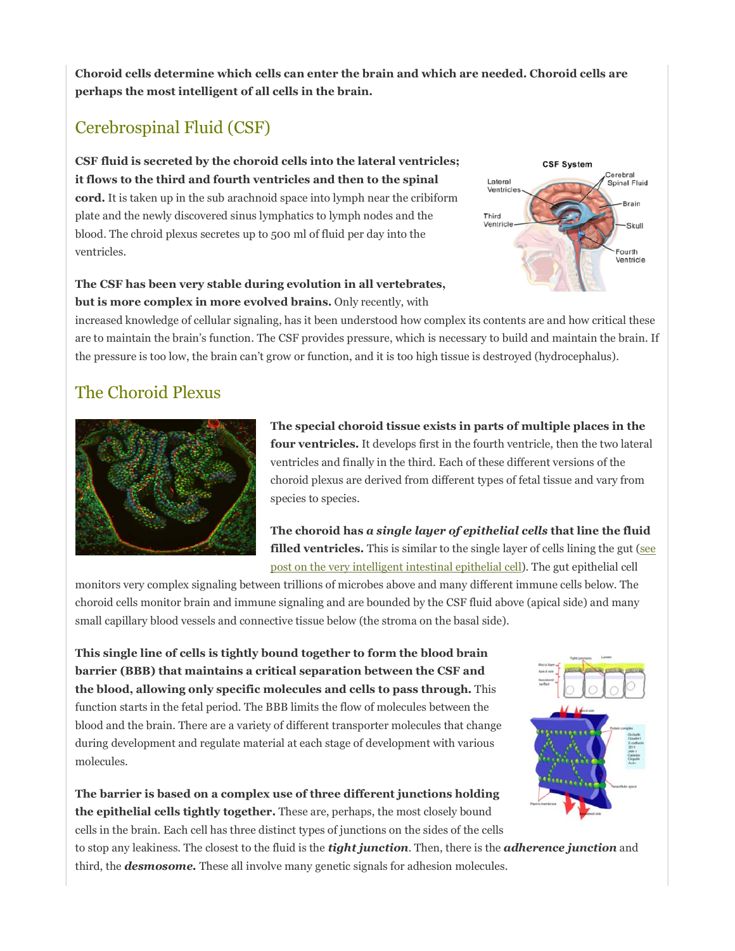**Choroid cells determine which cells can enter the brain and which are needed. Choroid cells are perhaps the most intelligent of all cells in the brain.** 

### Cerebrospinal Fluid (CSF)

**CSF fluid is secreted by the choroid cells into the lateral ventricles; it flows to the third and fourth ventricles and then to the spinal cord.** It is taken up in the sub arachnoid space into lymph near the cribiform

plate and the newly discovered sinus lymphatics to lymph nodes and the blood. The chroid plexus secretes up to 500 ml of fluid per day into the ventricles.

**CSF System** Cerebral Lateral Spinal Fluid Brain Third Ventricl Skull ourth Ventricle

**The CSF has been very stable during evolution in all vertebrates, but is more complex in more evolved brains.** Only recently, with

increased knowledge of cellular signaling, has it been understood how complex its contents are and how critical these are to maintain the brain's function. The CSF provides pressure, which is necessary to build and maintain the brain. If the pressure is too low, the brain can't grow or function, and it is too high tissue is destroyed (hydrocephalus).

### The Choroid Plexus



**The special choroid tissue exists in parts of multiple places in the four ventricles.** It develops first in the fourth ventricle, then the two lateral ventricles and finally in the third. Each of these different versions of the choroid plexus are derived from different types of fetal tissue and vary from species to species.

**The choroid has** *a single layer of epithelial cells* **that line the fluid filled ventricles.** This is similar to the single layer of cells lining the gut (see post on the very intelligent intestinal epithelial cell). The gut epithelial cell

monitors very complex signaling between trillions of microbes above and many different immune cells below. The choroid cells monitor brain and immune signaling and are bounded by the CSF fluid above (apical side) and many small capillary blood vessels and connective tissue below (the stroma on the basal side).

**This single line of cells is tightly bound together to form the blood brain barrier (BBB) that maintains a critical separation between the CSF and the blood, allowing only specific molecules and cells to pass through.** This function starts in the fetal period. The BBB limits the flow of molecules between the blood and the brain. There are a variety of different transporter molecules that change during development and regulate material at each stage of development with various molecules.



**The barrier is based on a complex use of three different junctions holding the epithelial cells tightly together.** These are, perhaps, the most closely bound cells in the brain. Each cell has three distinct types of junctions on the sides of the cells

to stop any leakiness. The closest to the fluid is the *tight junction*. Then, there is the *adherence junction* and third, the *desmosome.* These all involve many genetic signals for adhesion molecules.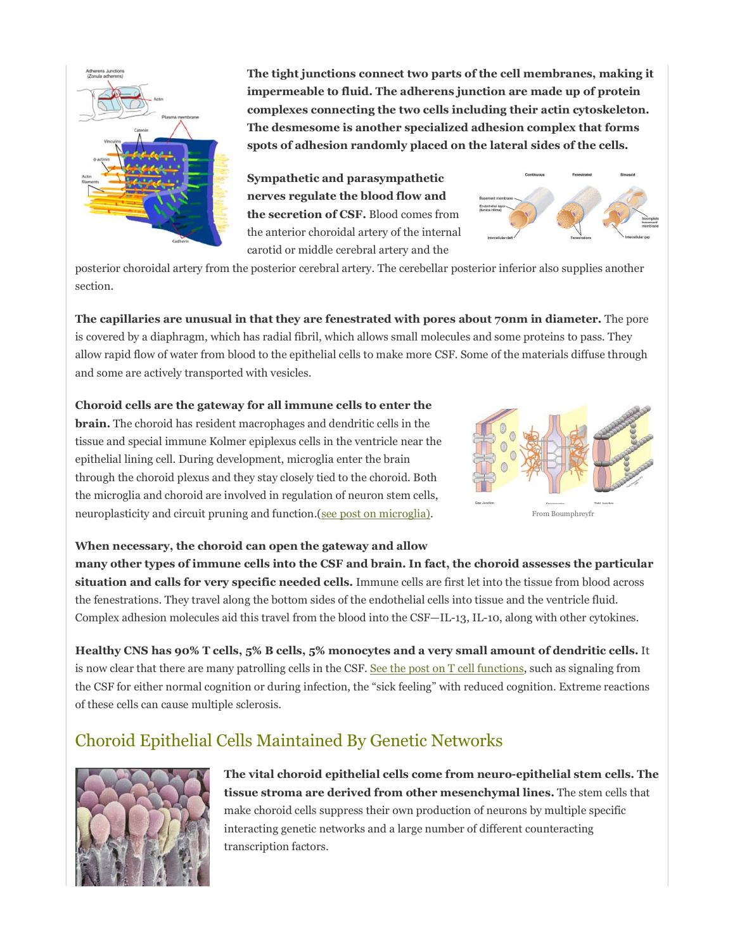

**The tight junctions connect two parts of the cell membranes, making it impermeable to fluid. The adherens junction are made up of protein complexes connecting the two cells including their actin cytoskeleton. The desmesome is another specialized adhesion complex that forms spots of adhesion randomly placed on the lateral sides of the cells.** 

**Sympathetic and parasympathetic nerves regulate the blood flow and the secretion of CSF.** Blood comes from the anterior choroidal artery of the internal carotid or middle cerebral artery and the



posterior choroidal artery from the posterior cerebral artery. The cerebellar posterior inferior also supplies another section.

**The capillaries are unusual in that they are fenestrated with pores about 70nm in diameter.** The pore is covered by a diaphragm, which has radial fibril, which allows small molecules and some proteins to pass. They allow rapid flow of water from blood to the epithelial cells to make more CSF. Some of the materials diffuse through and some are actively transported with vesicles.

### **Choroid cells are the gateway for all immune cells to enter the**

**brain.** The choroid has resident macrophages and dendritic cells in the tissue and special immune Kolmer epiplexus cells in the ventricle near the epithelial lining cell. During development, microglia enter the brain through the choroid plexus and they stay closely tied to the choroid. Both the microglia and choroid are involved in regulation of neuron stem cells, neuroplasticity and circuit pruning and function.(see post on microglia).



**When necessary, the choroid can open the gateway and allow** 

**many other types of immune cells into the CSF and brain. In fact, the choroid assesses the particular situation and calls for very specific needed cells.** Immune cells are first let into the tissue from blood across the fenestrations. They travel along the bottom sides of the endothelial cells into tissue and the ventricle fluid. Complex adhesion molecules aid this travel from the blood into the CSF—IL-13, IL-10, along with other cytokines.

**Healthy CNS has 90% T cells, 5% B cells, 5% monocytes and a very small amount of dendritic cells.** It is now clear that there are many patrolling cells in the CSF. See the post on T cell functions, such as signaling from the CSF for either normal cognition or during infection, the "sick feeling" with reduced cognition. Extreme reactions of these cells can cause multiple sclerosis.

### Choroid Epithelial Cells Maintained By Genetic Networks



**The vital choroid epithelial cells come from neuro-epithelial stem cells. The tissue stroma are derived from other mesenchymal lines.** The stem cells that make choroid cells suppress their own production of neurons by multiple specific interacting genetic networks and a large number of different counteracting transcription factors.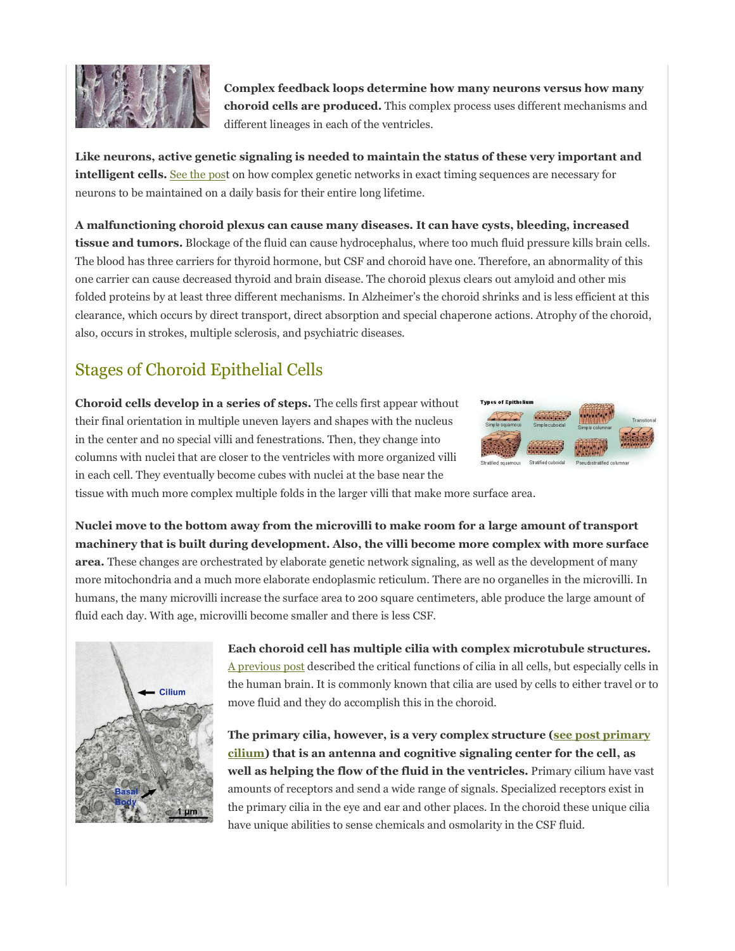

**Complex feedback loops determine how many neurons versus how many choroid cells are produced.** This complex process uses different mechanisms and different lineages in each of the ventricles.

**Like neurons, active genetic signaling is needed to maintain the status of these very important and intelligent cells.** See the post on how complex genetic networks in exact timing sequences are necessary for neurons to be maintained on a daily basis for their entire long lifetime.

**A malfunctioning choroid plexus can cause many diseases. It can have cysts, bleeding, increased tissue and tumors.** Blockage of the fluid can cause hydrocephalus, where too much fluid pressure kills brain cells. The blood has three carriers for thyroid hormone, but CSF and choroid have one. Therefore, an abnormality of this one carrier can cause decreased thyroid and brain disease. The choroid plexus clears out amyloid and other mis folded proteins by at least three different mechanisms. In Alzheimer's the choroid shrinks and is less efficient at this clearance, which occurs by direct transport, direct absorption and special chaperone actions. Atrophy of the choroid, also, occurs in strokes, multiple sclerosis, and psychiatric diseases.

### Stages of Choroid Epithelial Cells

**Choroid cells develop in a series of steps.** The cells first appear without their final orientation in multiple uneven layers and shapes with the nucleus in the center and no special villi and fenestrations. Then, they change into columns with nuclei that are closer to the ventricles with more organized villi in each cell. They eventually become cubes with nuclei at the base near the



tissue with much more complex multiple folds in the larger villi that make more surface area.

**Nuclei move to the bottom away from the microvilli to make room for a large amount of transport machinery that is built during development. Also, the villi become more complex with more surface area.** These changes are orchestrated by elaborate genetic network signaling, as well as the development of many more mitochondria and a much more elaborate endoplasmic reticulum. There are no organelles in the microvilli. In humans, the many microvilli increase the surface area to 200 square centimeters, able produce the large amount of fluid each day. With age, microvilli become smaller and there is less CSF.



**Each choroid cell has multiple cilia with complex microtubule structures.** A previous post described the critical functions of cilia in all cells, but especially cells in the human brain. It is commonly known that cilia are used by cells to either travel or to move fluid and they do accomplish this in the choroid.

**The primary cilia, however, is a very complex structure (see post primary cilium) that is an antenna and cognitive signaling center for the cell, as well as helping the flow of the fluid in the ventricles.** Primary cilium have vast amounts of receptors and send a wide range of signals. Specialized receptors exist in the primary cilia in the eye and ear and other places. In the choroid these unique cilia have unique abilities to sense chemicals and osmolarity in the CSF fluid.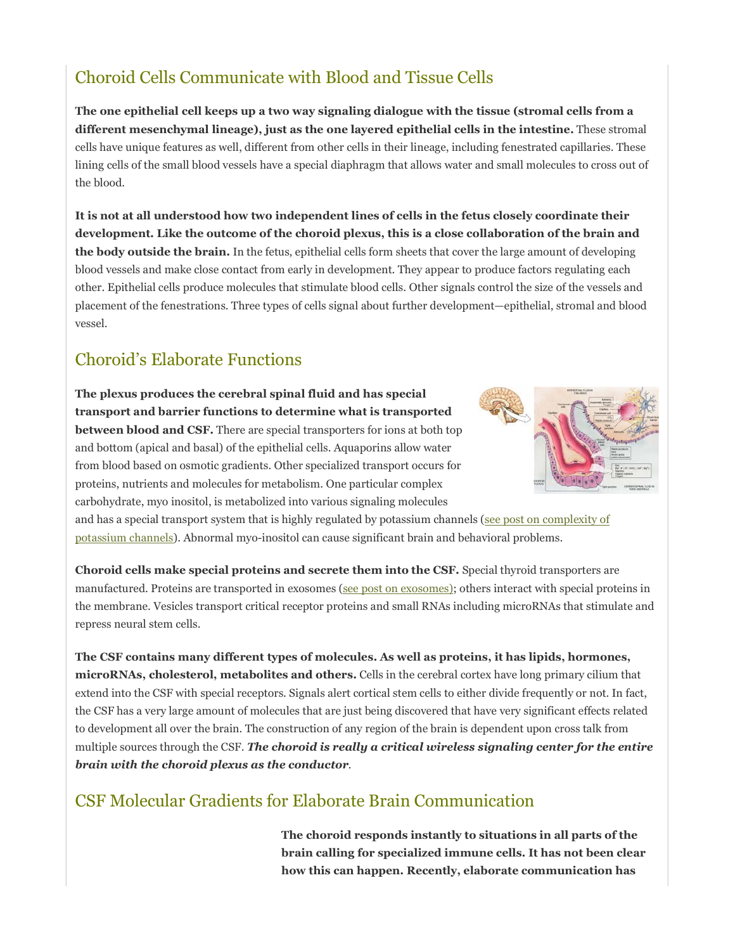### Choroid Cells Communicate with Blood and Tissue Cells

**The one epithelial cell keeps up a two way signaling dialogue with the tissue (stromal cells from a different mesenchymal lineage), just as the one layered epithelial cells in the intestine.** These stromal cells have unique features as well, different from other cells in their lineage, including fenestrated capillaries. These lining cells of the small blood vessels have a special diaphragm that allows water and small molecules to cross out of the blood.

**It is not at all understood how two independent lines of cells in the fetus closely coordinate their development. Like the outcome of the choroid plexus, this is a close collaboration of the brain and the body outside the brain.** In the fetus, epithelial cells form sheets that cover the large amount of developing blood vessels and make close contact from early in development. They appear to produce factors regulating each other. Epithelial cells produce molecules that stimulate blood cells. Other signals control the size of the vessels and placement of the fenestrations. Three types of cells signal about further development—epithelial, stromal and blood vessel.

#### Choroid's Elaborate Functions

**The plexus produces the cerebral spinal fluid and has special transport and barrier functions to determine what is transported between blood and CSF.** There are special transporters for ions at both top and bottom (apical and basal) of the epithelial cells. Aquaporins allow water from blood based on osmotic gradients. Other specialized transport occurs for proteins, nutrients and molecules for metabolism. One particular complex carbohydrate, myo inositol, is metabolized into various signaling molecules



and has a special transport system that is highly regulated by potassium channels (see post on complexity of potassium channels). Abnormal myo-inositol can cause significant brain and behavioral problems.

**Choroid cells make special proteins and secrete them into the CSF.** Special thyroid transporters are manufactured. Proteins are transported in exosomes (see post on exosomes); others interact with special proteins in the membrane. Vesicles transport critical receptor proteins and small RNAs including microRNAs that stimulate and repress neural stem cells.

**The CSF contains many different types of molecules. As well as proteins, it has lipids, hormones, microRNAs, cholesterol, metabolites and others.** Cells in the cerebral cortex have long primary cilium that extend into the CSF with special receptors. Signals alert cortical stem cells to either divide frequently or not. In fact, the CSF has a very large amount of molecules that are just being discovered that have very significant effects related to development all over the brain. The construction of any region of the brain is dependent upon cross talk from multiple sources through the CSF. *The choroid is really a critical wireless signaling center for the entire brain with the choroid plexus as the conductor.*

### CSF Molecular Gradients for Elaborate Brain Communication

**The choroid responds instantly to situations in all parts of the brain calling for specialized immune cells. It has not been clear how this can happen. Recently, elaborate communication has**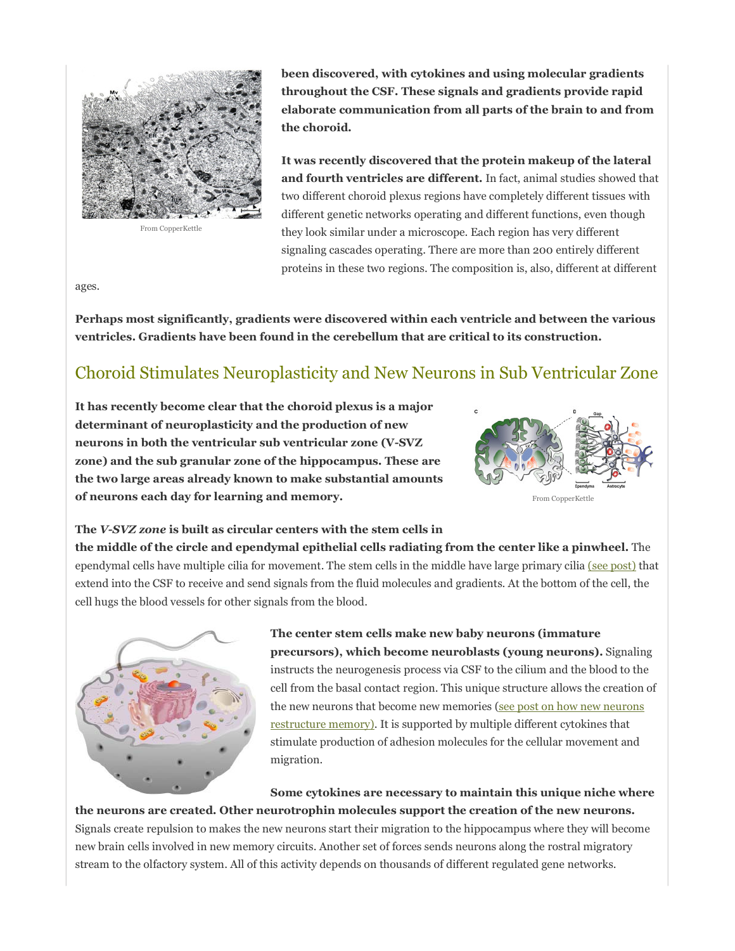

From CopperKettle

**been discovered, with cytokines and using molecular gradients throughout the CSF. These signals and gradients provide rapid elaborate communication from all parts of the brain to and from the choroid.**

**It was recently discovered that the protein makeup of the lateral and fourth ventricles are different.** In fact, animal studies showed that two different choroid plexus regions have completely different tissues with different genetic networks operating and different functions, even though they look similar under a microscope. Each region has very different signaling cascades operating. There are more than 200 entirely different proteins in these two regions. The composition is, also, different at different

ages.

**Perhaps most significantly, gradients were discovered within each ventricle and between the various ventricles. Gradients have been found in the cerebellum that are critical to its construction.**

### Choroid Stimulates Neuroplasticity and New Neurons in Sub Ventricular Zone

**It has recently become clear that the choroid plexus is a major determinant of neuroplasticity and the production of new neurons in both the ventricular sub ventricular zone (V-SVZ zone) and the sub granular zone of the hippocampus. These are the two large areas already known to make substantial amounts of neurons each day for learning and memory.** 



From CopperKettle

#### **The** *V-SVZ zone* **is built as circular centers with the stem cells in**

**the middle of the circle and ependymal epithelial cells radiating from the center like a pinwheel.** The ependymal cells have multiple cilia for movement. The stem cells in the middle have large primary cilia (see post) that extend into the CSF to receive and send signals from the fluid molecules and gradients. At the bottom of the cell, the cell hugs the blood vessels for other signals from the blood.



**The center stem cells make new baby neurons (immature precursors), which become neuroblasts (young neurons).** Signaling instructs the neurogenesis process via CSF to the cilium and the blood to the cell from the basal contact region. This unique structure allows the creation of the new neurons that become new memories (see post on how new neurons restructure memory). It is supported by multiple different cytokines that stimulate production of adhesion molecules for the cellular movement and migration.

**Some cytokines are necessary to maintain this unique niche where** 

**the neurons are created. Other neurotrophin molecules support the creation of the new neurons.** Signals create repulsion to makes the new neurons start their migration to the hippocampus where they will become new brain cells involved in new memory circuits. Another set of forces sends neurons along the rostral migratory stream to the olfactory system. All of this activity depends on thousands of different regulated gene networks.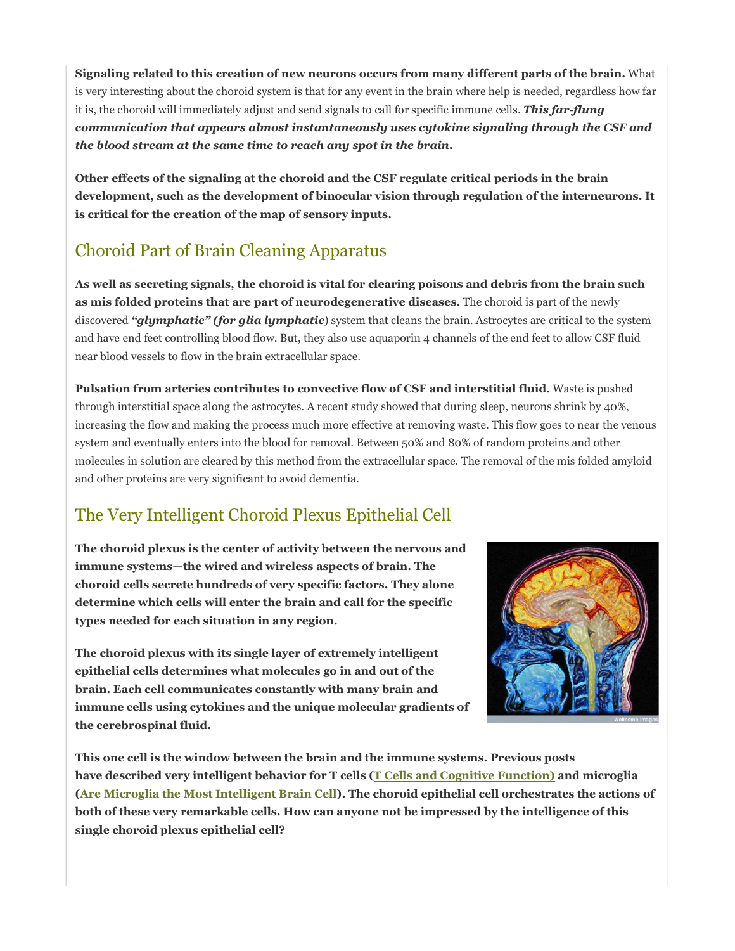**Signaling related to this creation of new neurons occurs from many different parts of the brain.** What is very interesting about the choroid system is that for any event in the brain where help is needed, regardless how far it is, the choroid will immediately adjust and send signals to call for specific immune cells. *This far-flung communication that appears almost instantaneously uses cytokine signaling through the CSF and the blood stream at the same time to reach any spot in the brain.* 

**Other effects of the signaling at the choroid and the CSF regulate critical periods in the brain development, such as the development of binocular vision through regulation of the interneurons. It is critical for the creation of the map of sensory inputs.**

### Choroid Part of Brain Cleaning Apparatus

**As well as secreting signals, the choroid is vital for clearing poisons and debris from the brain such as mis folded proteins that are part of neurodegenerative diseases.** The choroid is part of the newly discovered *"glymphatic" (for glia lymphatic*) system that cleans the brain. Astrocytes are critical to the system and have end feet controlling blood flow. But, they also use aquaporin 4 channels of the end feet to allow CSF fluid near blood vessels to flow in the brain extracellular space.

**Pulsation from arteries contributes to convective flow of CSF and interstitial fluid.** Waste is pushed through interstitial space along the astrocytes. A recent study showed that during sleep, neurons shrink by 40%, increasing the flow and making the process much more effective at removing waste. This flow goes to near the venous system and eventually enters into the blood for removal. Between 50% and 80% of random proteins and other molecules in solution are cleared by this method from the extracellular space. The removal of the mis folded amyloid and other proteins are very significant to avoid dementia.

### The Very Intelligent Choroid Plexus Epithelial Cell

**The choroid plexus is the center of activity between the nervous and immune systems—the wired and wireless aspects of brain. The choroid cells secrete hundreds of very specific factors. They alone determine which cells will enter the brain and call for the specific types needed for each situation in any region.** 

**The choroid plexus with its single layer of extremely intelligent epithelial cells determines what molecules go in and out of the brain. Each cell communicates constantly with many brain and immune cells using cytokines and the unique molecular gradients of the cerebrospinal fluid.** 



**This one cell is the window between the brain and the immune systems. Previous posts have described very intelligent behavior for T cells (T Cells and Cognitive Function) and microglia (Are Microglia the Most Intelligent Brain Cell). The choroid epithelial cell orchestrates the actions of both of these very remarkable cells. How can anyone not be impressed by the intelligence of this single choroid plexus epithelial cell?**